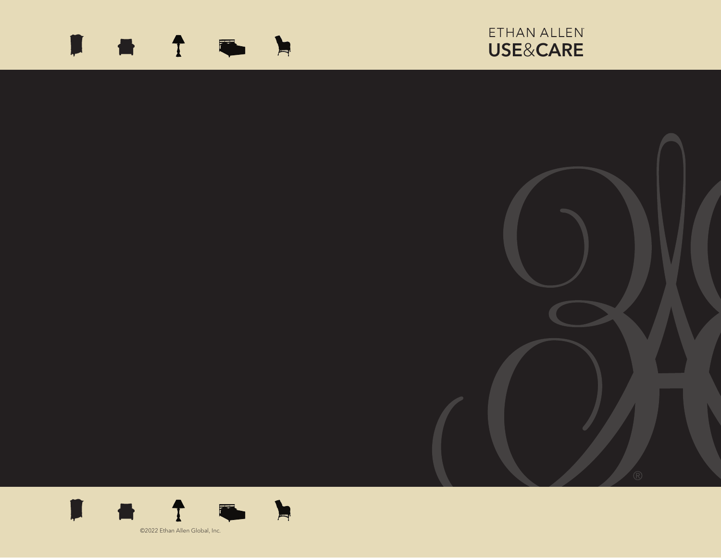# **■ ↑ ■ ▶**

# ETHAN ALLEN USE&CARE



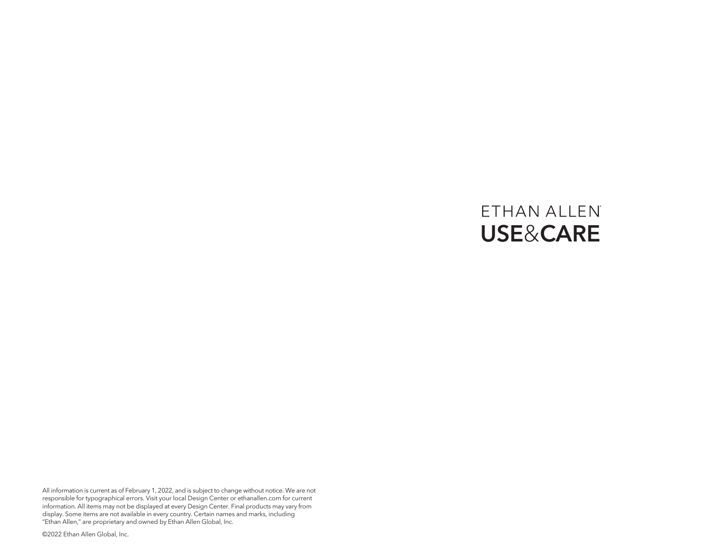# ETHAN ALLEN USE&CARE

All information is current as of February 1, 2022, and is subject to change without notice. We are not responsible for typographical errors. Visit your local Design Center or ethanallen.com for current information. All items may not be displayed at every Design Center. Final products may vary from display. Some items are not available in every country. Certain names and marks, including "Ethan Allen," are proprietary and owned by Ethan Allen Global, Inc.

©2022 Ethan Allen Global, Inc.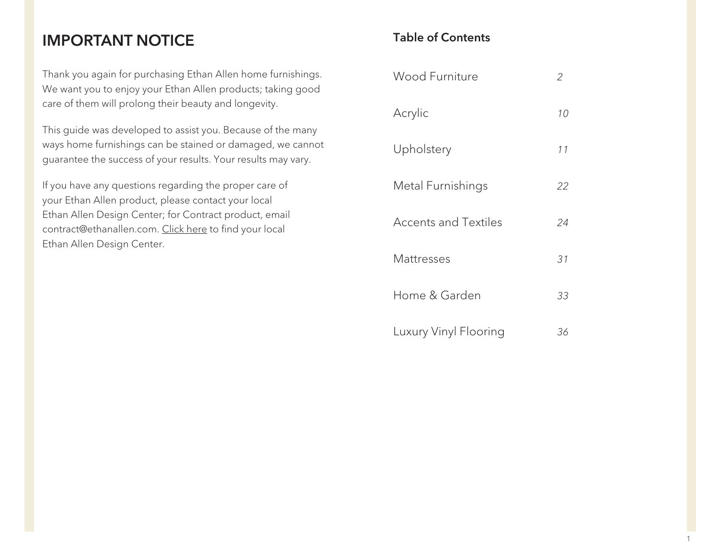## IMPORTANT NOTICE

Thank you again for purchasing Ethan Allen home furnishings. We want you to enjoy your Ethan Allen products; taking good care of them will prolong their beauty and longevity.

This guide was developed to assist you. Because of the many ways home furnishings can be stained or damaged, we cannot guarantee the success of your results. Your results may vary.

If you have any questions regarding the proper care of your Ethan Allen product, please contact your local Ethan Allen Design Center; for Contract product, email contract@ethanallen.com. Click here to find your local Ethan Allen Design Center.

### Table of Contents

| Wood Furniture        | 2  |
|-----------------------|----|
| Acrylic               | 10 |
| Upholstery            | 11 |
| Metal Furnishings     | 22 |
| Accents and Textiles  | 24 |
| Mattresses            | 31 |
| Home & Garden         | 33 |
| Luxury Vinyl Flooring | 36 |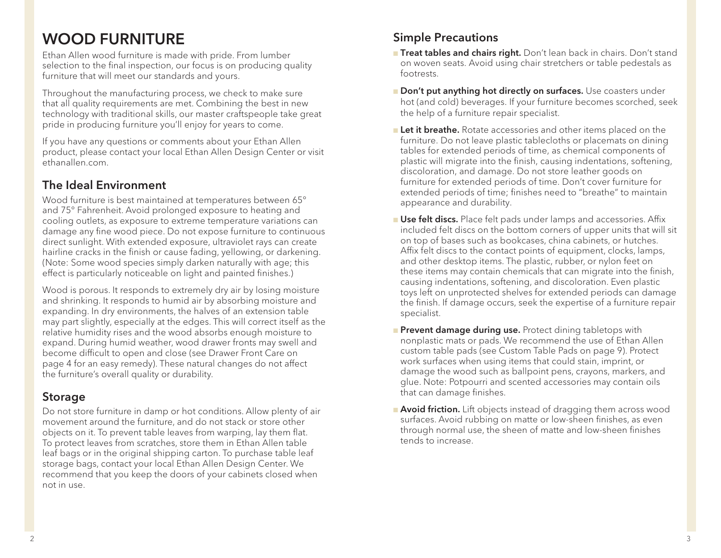# WOOD FURNITURE

Ethan Allen wood furniture is made with pride. From lumber selection to the final inspection, our focus is on producing quality furniture that will meet our standards and yours.

Throughout the manufacturing process, we check to make sure that all quality requirements are met. Combining the best in new technology with traditional skills, our master craftspeople take great pride in producing furniture you'll enjoy for years to come.

If you have any questions or comments about your Ethan Allen product, please contact your local Ethan Allen Design Center or visit ethanallen.com.

#### The Ideal Environment

Wood furniture is best maintained at temperatures between 65° and 75° Fahrenheit. Avoid prolonged exposure to heating and cooling outlets, as exposure to extreme temperature variations can damage any fine wood piece. Do not expose furniture to continuous direct sunlight. With extended exposure, ultraviolet rays can create hairline cracks in the finish or cause fading, yellowing, or darkening. (Note: Some wood species simply darken naturally with age; this effect is particularly noticeable on light and painted finishes.)

Wood is porous. It responds to extremely dry air by losing moisture and shrinking. It responds to humid air by absorbing moisture and expanding. In dry environments, the halves of an extension table may part slightly, especially at the edges. This will correct itself as the relative humidity rises and the wood absorbs enough moisture to expand. During humid weather, wood drawer fronts may swell and become difficult to open and close (see Drawer Front Care on page 4 for an easy remedy). These natural changes do not affect the furniture's overall quality or durability.

### Storage

Do not store furniture in damp or hot conditions. Allow plenty of air movement around the furniture, and do not stack or store other objects on it. To prevent table leaves from warping, lay them flat. To protect leaves from scratches, store them in Ethan Allen table leaf bags or in the original shipping carton. To purchase table leaf storage bags, contact your local Ethan Allen Design Center. We recommend that you keep the doors of your cabinets closed when not in use.

### Simple Precautions

- **Treat tables and chairs right.** Don't lean back in chairs. Don't stand on woven seats. Avoid using chair stretchers or table pedestals as footrests.
- Don't put anything hot directly on surfaces. Use coasters under hot (and cold) beverages. If your furniture becomes scorched, seek the help of a furniture repair specialist.
- **Let it breathe.** Rotate accessories and other items placed on the furniture. Do not leave plastic tablecloths or placemats on dining tables for extended periods of time, as chemical components of plastic will migrate into the finish, causing indentations, softening, discoloration, and damage. Do not store leather goods on furniture for extended periods of time. Don't cover furniture for extended periods of time; finishes need to "breathe" to maintain appearance and durability.
- **u Use felt discs.** Place felt pads under lamps and accessories. Affix included felt discs on the bottom corners of upper units that will sit on top of bases such as bookcases, china cabinets, or hutches. Affix felt discs to the contact points of equipment, clocks, lamps, and other desktop items. The plastic, rubber, or nylon feet on these items may contain chemicals that can migrate into the finish, causing indentations, softening, and discoloration. Even plastic toys left on unprotected shelves for extended periods can damage the finish. If damage occurs, seek the expertise of a furniture repair specialist.
- **Prevent damage during use.** Protect dining tabletops with nonplastic mats or pads. We recommend the use of Ethan Allen custom table pads (see Custom Table Pads on page 9). Protect work surfaces when using items that could stain, imprint, or damage the wood such as ballpoint pens, crayons, markers, and glue. Note: Potpourri and scented accessories may contain oils that can damage finishes.
- **Avoid friction.** Lift objects instead of dragging them across wood surfaces. Avoid rubbing on matte or low-sheen finishes, as even through normal use, the sheen of matte and low-sheen finishes tends to increase.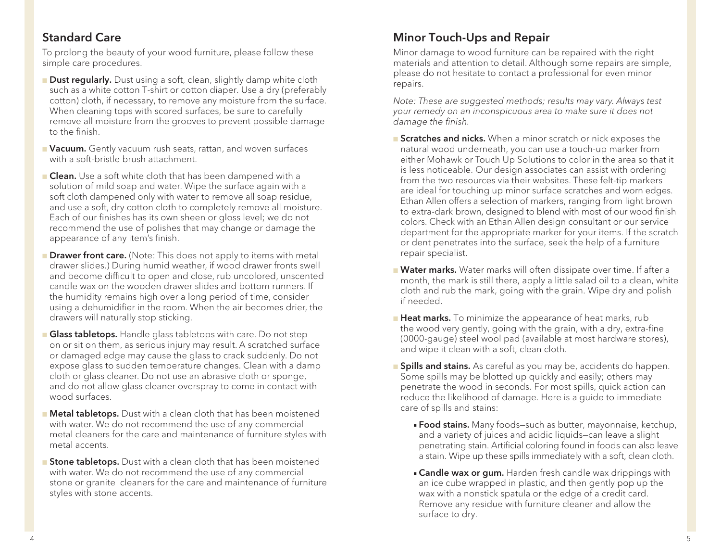#### Standard Care

To prolong the beauty of your wood furniture, please follow these simple care procedures.

- **Dust regularly.** Dust using a soft, clean, slightly damp white cloth such as a white cotton T-shirt or cotton diaper. Use a dry (preferably cotton) cloth, if necessary, to remove any moisture from the surface. When cleaning tops with scored surfaces, be sure to carefully remove all moisture from the grooves to prevent possible damage to the finish.
- **Nacuum.** Gently vacuum rush seats, rattan, and woven surfaces with a soft-bristle brush attachment.
- **Clean.** Use a soft white cloth that has been dampened with a solution of mild soap and water. Wipe the surface again with a soft cloth dampened only with water to remove all soap residue, and use a soft, dry cotton cloth to completely remove all moisture. Each of our finishes has its own sheen or gloss level; we do not recommend the use of polishes that may change or damage the appearance of any item's finish.
- **Drawer front care.** (Note: This does not apply to items with metal drawer slides.) During humid weather, if wood drawer fronts swell and become difficult to open and close, rub uncolored, unscented candle wax on the wooden drawer slides and bottom runners. If the humidity remains high over a long period of time, consider using a dehumidifier in the room. When the air becomes drier, the drawers will naturally stop sticking.
- **Glass tabletops.** Handle glass tabletops with care. Do not step on or sit on them, as serious injury may result. A scratched surface or damaged edge may cause the glass to crack suddenly. Do not expose glass to sudden temperature changes. Clean with a damp cloth or glass cleaner. Do not use an abrasive cloth or sponge, and do not allow glass cleaner overspray to come in contact with wood surfaces.
- **Netal tabletops.** Dust with a clean cloth that has been moistened with water. We do not recommend the use of any commercial metal cleaners for the care and maintenance of furniture styles with metal accents.
- **Stone tabletops.** Dust with a clean cloth that has been moistened with water. We do not recommend the use of any commercial stone or granite cleaners for the care and maintenance of furniture styles with stone accents.

### Minor Touch-Ups and Repair

Minor damage to wood furniture can be repaired with the right materials and attention to detail. Although some repairs are simple, please do not hesitate to contact a professional for even minor repairs.

*Note: These are suggested methods; results may vary. Always test your remedy on an inconspicuous area to make sure it does not damage the finish.*

- **Scratches and nicks.** When a minor scratch or nick exposes the natural wood underneath, you can use a touch-up marker from either Mohawk or Touch Up Solutions to color in the area so that it is less noticeable. Our design associates can assist with ordering from the two resources via their websites. These felt-tip markers are ideal for touching up minor surface scratches and worn edges. Ethan Allen offers a selection of markers, ranging from light brown to extra-dark brown, designed to blend with most of our wood finish colors. Check with an Ethan Allen design consultant or our service department for the appropriate marker for your items. If the scratch or dent penetrates into the surface, seek the help of a furniture repair specialist.
- **Nater marks.** Water marks will often dissipate over time. If after a month, the mark is still there, apply a little salad oil to a clean, white cloth and rub the mark, going with the grain. Wipe dry and polish if needed.
- **Heat marks.** To minimize the appearance of heat marks, rub the wood very gently, going with the grain, with a dry, extra-fine (0000-gauge) steel wool pad (available at most hardware stores), and wipe it clean with a soft, clean cloth.
- **Spills and stains.** As careful as you may be, accidents do happen. Some spills may be blotted up quickly and easily; others may penetrate the wood in seconds. For most spills, quick action can reduce the likelihood of damage. Here is a guide to immediate care of spills and stains:
	- **Food stains.** Many foods–such as butter, mayonnaise, ketchup, and a variety of juices and acidic liquids—can leave a slight penetrating stain. Artificial coloring found in foods can also leave a stain. Wipe up these spills immediately with a soft, clean cloth.
	- **Candle wax or gum.** Harden fresh candle wax drippings with an ice cube wrapped in plastic, and then gently pop up the wax with a nonstick spatula or the edge of a credit card. Remove any residue with furniture cleaner and allow the surface to dry.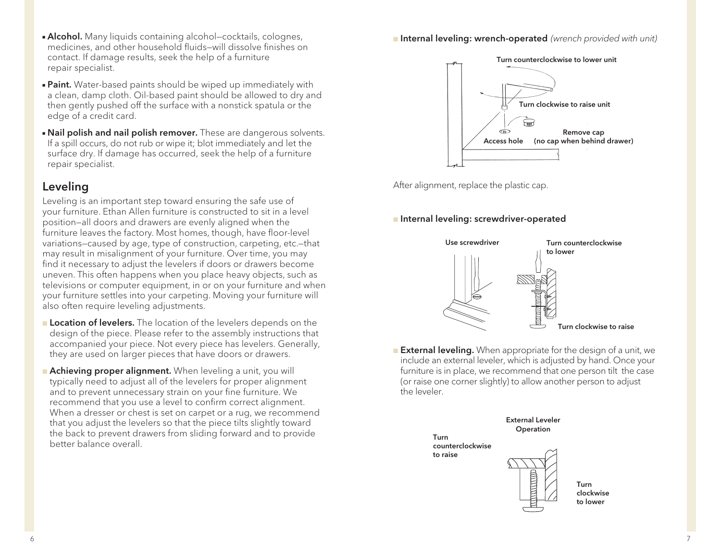- **Alcohol.** Many liquids containing alcohol–cocktails, colognes, medicines, and other household fluids—will dissolve finishes on contact. If damage results, seek the help of a furniture repair specialist.
- **Paint.** Water-based paints should be wiped up immediately with a clean, damp cloth. Oil-based paint should be allowed to dry and then gently pushed off the surface with a nonstick spatula or the edge of a credit card.
- **Nail polish and nail polish remover.** These are dangerous solvents. If a spill occurs, do not rub or wipe it; blot immediately and let the surface dry. If damage has occurred, seek the help of a furniture repair specialist.

#### Leveling

Leveling is an important step toward ensuring the safe use of your furniture. Ethan Allen furniture is constructed to sit in a level position—all doors and drawers are evenly aligned when the furniture leaves the factory. Most homes, though, have floor-level variations—caused by age, type of construction, carpeting, etc.—that may result in misalignment of your furniture. Over time, you may find it necessary to adjust the levelers if doors or drawers become uneven. This often happens when you place heavy objects, such as televisions or computer equipment, in or on your furniture and when your furniture settles into your carpeting. Moving your furniture will also often require leveling adjustments.

- **Location of levelers.** The location of the levelers depends on the design of the piece. Please refer to the assembly instructions that accompanied your piece. Not every piece has levelers. Generally, they are used on larger pieces that have doors or drawers.
- **Achieving proper alignment.** When leveling a unit, you will typically need to adjust all of the levelers for proper alignment and to prevent unnecessary strain on your fine furniture. We recommend that you use a level to confirm correct alignment. When a dresser or chest is set on carpet or a rug, we recommend that you adjust the levelers so that the piece tilts slightly toward the back to prevent drawers from sliding forward and to provide better balance overall.

<sup>n</sup> Internal leveling: wrench-operated *(wrench provided with unit)*



After alignment, replace the plastic cap.

#### **n** Internal leveling: screwdriver-operated



**External leveling.** When appropriate for the design of a unit, we include an external leveler, which is adjusted by hand. Once your furniture is in place, we recommend that one person tilt the case (or raise one corner slightly) to allow another person to adjust the leveler.



clockwise to lower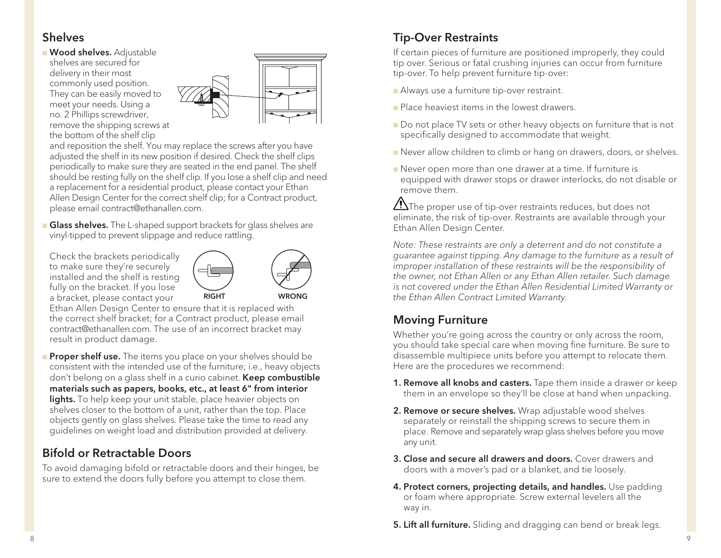#### Shelves

**Nood shelves.** Adjustable shelves are secured for delivery in their most commonly used position. They can be easily moved to meet your needs. Using a no. 2 Phillips screwdriver, remove the shipping screws at the bottom of the shelf clip



and reposition the shelf. You may replace the screws after you have adjusted the shelf in its new position if desired. Check the shelf clips periodically to make sure they are seated in the end panel. The shelf should be resting fully on the shelf clip. If you lose a shelf clip and need a replacement for a residential product, please contact your Ethan Allen Design Center for the correct shelf clip; for a Contract product, please email contract@ethanallen.com.

- **Glass shelves.** The L-shaped support brackets for glass shelves are vinyl-tipped to prevent slippage and reduce rattling.
- Check the brackets periodically to make sure they're securely installed and the shelf is resting fully on the bracket. If you lose a bracket, please contact your



Ethan Allen Design Center to ensure that it is replaced with the correct shelf bracket; for a Contract product, please email contract@ethanallen.com. The use of an incorrect bracket may result in product damage.

**Proper shelf use.** The items you place on your shelves should be consistent with the intended use of the furniture; i.e., heavy objects don't belong on a glass shelf in a curio cabinet. **Keep combustible** materials such as papers, books, etc., at least 6" from interior lights. To help keep your unit stable, place heavier objects on shelves closer to the bottom of a unit, rather than the top. Place objects gently on glass shelves. Please take the time to read any guidelines on weight load and distribution provided at delivery.

### Bifold or Retractable Doors

To avoid damaging bifold or retractable doors and their hinges, be sure to extend the doors fully before you attempt to close them.

### Tip-Over Restraints

If certain pieces of furniture are positioned improperly, they could tip over. Serious or fatal crushing injuries can occur from furniture tip-over. To help prevent furniture tip-over:

**Always use a furniture tip-over restraint.** 

- **n** Place heaviest items in the lowest drawers.
- Do not place TV sets or other heavy objects on furniture that is not specifically designed to accommodate that weight.
- **n** Never allow children to climb or hang on drawers, doors, or shelves.
- **n** Never open more than one drawer at a time. If furniture is equipped with drawer stops or drawer interlocks, do not disable or remove them.

 $\sqrt{!}$ The proper use of tip-over restraints reduces, but does not eliminate, the risk of tip-over. Restraints are available through your Ethan Allen Design Center.

*Note: These restraints are only a deterrent and do not constitute a guarantee against tipping. Any damage to the furniture as a result of improper installation of these restraints will be the responsibility of the owner, not Ethan Allen or any Ethan Allen retailer. Such damage is not covered under the Ethan Allen Residential Limited Warranty or the Ethan Allen Contract Limited Warranty.*

### Moving Furniture

Whether you're going across the country or only across the room, you should take special care when moving fine furniture. Be sure to disassemble multipiece units before you attempt to relocate them. Here are the procedures we recommend:

- 1. Remove all knobs and casters. Tape them inside a drawer or keep them in an envelope so they'll be close at hand when unpacking.
- **2. Remove or secure shelves.** Wrap adjustable wood shelves separately or reinstall the shipping screws to secure them in place. Remove and separately wrap glass shelves before you move any unit.
- 3. Close and secure all drawers and doors. Cover drawers and doors with a mover's pad or a blanket, and tie loosely.
- 4. Protect corners, projecting details, and handles. Use padding or foam where appropriate. Screw external levelers all the way in.
- **5. Lift all furniture.** Sliding and dragging can bend or break legs.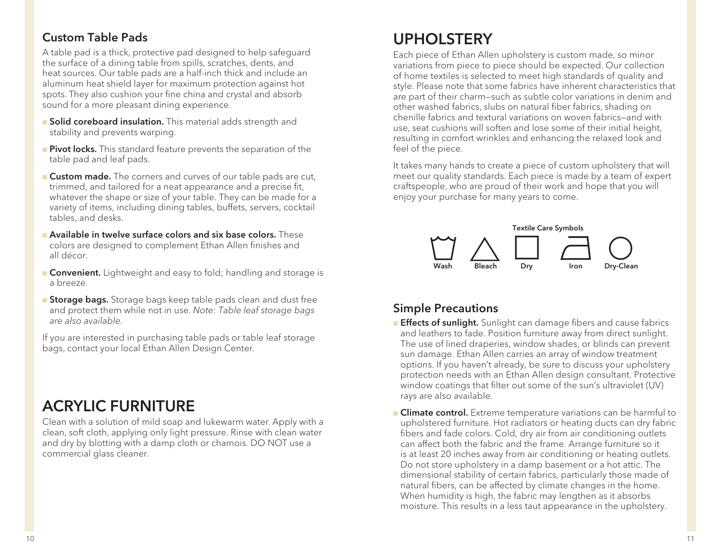#### Custom Table Pads

A table pad is a thick, protective pad designed to help safeguard the surface of a dining table from spills, scratches, dents, and heat sources. Our table pads are a half-inch thick and include an aluminum heat shield layer for maximum protection against hot spots. They also cushion your fine china and crystal and absorb sound for a more pleasant dining experience.

- **n** Solid coreboard insulation. This material adds strength and stability and prevents warping.
- **Pivot locks.** This standard feature prevents the separation of the table pad and leaf pads.
- **Custom made.** The corners and curves of our table pads are cut, trimmed, and tailored for a neat appearance and a precise fit, whatever the shape or size of your table. They can be made for a variety of items, including dining tables, buffets, servers, cocktail tables, and desks.
- **n Available in twelve surface colors and six base colors.** These colors are designed to complement Ethan Allen finishes and all décor.
- **Convenient.** Lightweight and easy to fold; handling and storage is a breeze.
- **Storage bags.** Storage bags keep table pads clean and dust free and protect them while not in use. *Note: Table leaf storage bags are also available.*

If you are interested in purchasing table pads or table leaf storage bags, contact your local Ethan Allen Design Center.

# ACRYLIC FURNITURE

Clean with a solution of mild soap and lukewarm water. Apply with a clean, soft cloth, applying only light pressure. Rinse with clean water and dry by blotting with a damp cloth or chamois. DO NOT use a commercial glass cleaner.

# UPHOLSTERY

Each piece of Ethan Allen upholstery is custom made, so minor variations from piece to piece should be expected. Our collection of home textiles is selected to meet high standards of quality and style. Please note that some fabrics have inherent characteristics that are part of their charm—such as subtle color variations in denim and other washed fabrics, slubs on natural fiber fabrics, shading on chenille fabrics and textural variations on woven fabrics—and with use, seat cushions will soften and lose some of their initial height, resulting in comfort wrinkles and enhancing the relaxed look and feel of the piece.

It takes many hands to create a piece of custom upholstery that will meet our quality standards. Each piece is made by a team of expert craftspeople, who are proud of their work and hope that you will enjoy your purchase for many years to come.



#### Simple Precautions

- **Effects of sunlight.** Sunlight can damage fibers and cause fabrics and leathers to fade. Position furniture away from direct sunlight. The use of lined draperies, window shades, or blinds can prevent sun damage. Ethan Allen carries an array of window treatment options. If you haven't already, be sure to discuss your upholstery protection needs with an Ethan Allen design consultant. Protective window coatings that filter out some of the sun's ultraviolet (UV) rays are also available.
- **n Climate control.** Extreme temperature variations can be harmful to upholstered furniture. Hot radiators or heating ducts can dry fabric fibers and fade colors. Cold, dry air from air conditioning outlets can affect both the fabric and the frame. Arrange furniture so it is at least 20 inches away from air conditioning or heating outlets. Do not store upholstery in a damp basement or a hot attic. The dimensional stability of certain fabrics, particularly those made of natural fibers, can be affected by climate changes in the home. When humidity is high, the fabric may lengthen as it absorbs moisture. This results in a less taut appearance in the upholstery.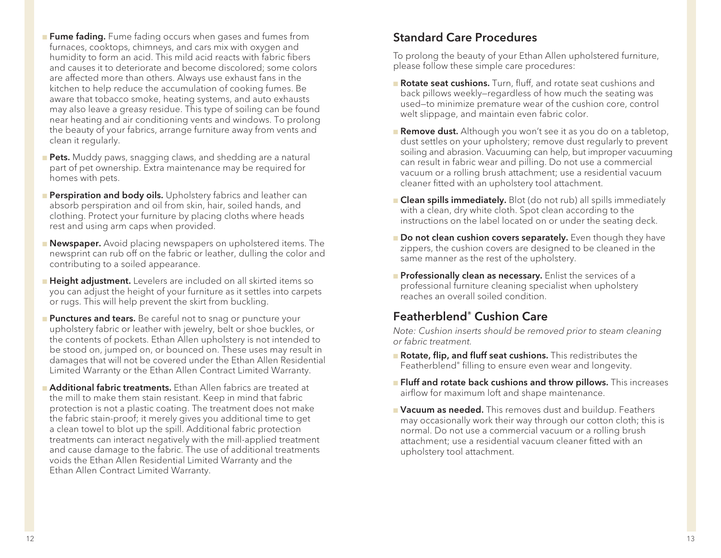- **Fume fading.** Fume fading occurs when gases and fumes from furnaces, cooktops, chimneys, and cars mix with oxygen and humidity to form an acid. This mild acid reacts with fabric fibers and causes it to deteriorate and become discolored; some colors are affected more than others. Always use exhaust fans in the kitchen to help reduce the accumulation of cooking fumes. Be aware that tobacco smoke, heating systems, and auto exhausts may also leave a greasy residue. This type of soiling can be found near heating and air conditioning vents and windows. To prolong the beauty of your fabrics, arrange furniture away from vents and clean it regularly.
- **Pets.** Muddy paws, snagging claws, and shedding are a natural part of pet ownership. Extra maintenance may be required for homes with pets.
- **Perspiration and body oils.** Upholstery fabrics and leather can absorb perspiration and oil from skin, hair, soiled hands, and clothing. Protect your furniture by placing cloths where heads rest and using arm caps when provided.
- **Newspaper.** Avoid placing newspapers on upholstered items. The newsprint can rub off on the fabric or leather, dulling the color and contributing to a soiled appearance.
- **Height adjustment.** Levelers are included on all skirted items so you can adjust the height of your furniture as it settles into carpets or rugs. This will help prevent the skirt from buckling.
- **Punctures and tears.** Be careful not to snag or puncture your upholstery fabric or leather with jewelry, belt or shoe buckles, or the contents of pockets. Ethan Allen upholstery is not intended to be stood on, jumped on, or bounced on. These uses may result in damages that will not be covered under the Ethan Allen Residential Limited Warranty or the Ethan Allen Contract Limited Warranty.
- **Additional fabric treatments.** Ethan Allen fabrics are treated at the mill to make them stain resistant. Keep in mind that fabric protection is not a plastic coating. The treatment does not make the fabric stain-proof; it merely gives you additional time to get a clean towel to blot up the spill. Additional fabric protection treatments can interact negatively with the mill-applied treatment and cause damage to the fabric. The use of additional treatments voids the Ethan Allen Residential Limited Warranty and the Ethan Allen Contract Limited Warranty.

#### Standard Care Procedures

To prolong the beauty of your Ethan Allen upholstered furniture, please follow these simple care procedures:

- **Rotate seat cushions.** Turn, fluff, and rotate seat cushions and back pillows weekly—regardless of how much the seating was used—to minimize premature wear of the cushion core, control welt slippage, and maintain even fabric color.
- **Remove dust.** Although you won't see it as you do on a tabletop, dust settles on your upholstery; remove dust regularly to prevent soiling and abrasion. Vacuuming can help, but improper vacuuming can result in fabric wear and pilling. Do not use a commercial vacuum or a rolling brush attachment; use a residential vacuum cleaner fitted with an upholstery tool attachment.
- **n Clean spills immediately.** Blot (do not rub) all spills immediately with a clean, dry white cloth. Spot clean according to the instructions on the label located on or under the seating deck.
- **n Do not clean cushion covers separately.** Even though they have zippers, the cushion covers are designed to be cleaned in the same manner as the rest of the upholstery.
- **Professionally clean as necessary.** Enlist the services of a professional furniture cleaning specialist when upholstery reaches an overall soiled condition.

### Featherblend® Cushion Care

*Note: Cushion inserts should be removed prior to steam cleaning or fabric treatment.*

- **n** Rotate, flip, and fluff seat cushions. This redistributes the Featherblend® filling to ensure even wear and longevity.
- **Fluff and rotate back cushions and throw pillows.** This increases airflow for maximum loft and shape maintenance.
- **Nacuum as needed.** This removes dust and buildup. Feathers may occasionally work their way through our cotton cloth; this is normal. Do not use a commercial vacuum or a rolling brush attachment; use a residential vacuum cleaner fitted with an upholstery tool attachment.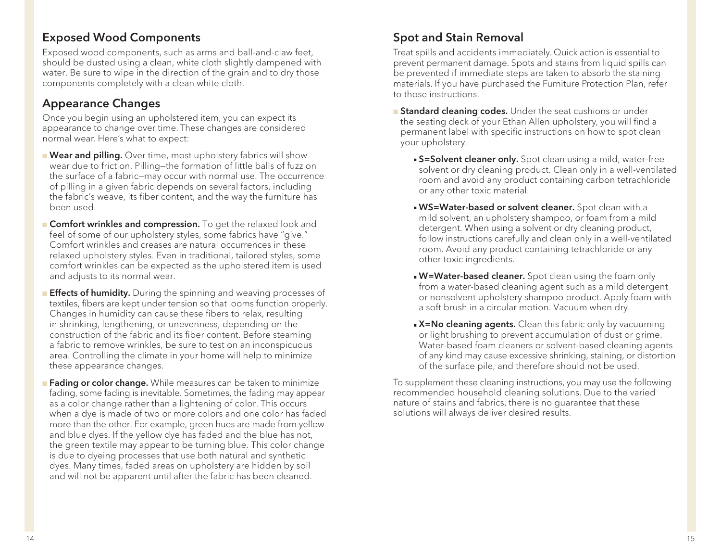#### Exposed Wood Components

Exposed wood components, such as arms and ball-and-claw feet, should be dusted using a clean, white cloth slightly dampened with water. Be sure to wipe in the direction of the grain and to dry those components completely with a clean white cloth.

#### Appearance Changes

Once you begin using an upholstered item, you can expect its appearance to change over time. These changes are considered normal wear. Here's what to expect:

- **Near and pilling.** Over time, most upholstery fabrics will show wear due to friction. Pilling—the formation of little balls of fuzz on the surface of a fabric—may occur with normal use. The occurrence of pilling in a given fabric depends on several factors, including the fabric's weave, its fiber content, and the way the furniture has been used.
- **Comfort wrinkles and compression.** To get the relaxed look and feel of some of our upholstery styles, some fabrics have "give." Comfort wrinkles and creases are natural occurrences in these relaxed upholstery styles. Even in traditional, tailored styles, some comfort wrinkles can be expected as the upholstered item is used and adjusts to its normal wear.
- **Effects of humidity.** During the spinning and weaving processes of textiles, fibers are kept under tension so that looms function properly. Changes in humidity can cause these fibers to relax, resulting in shrinking, lengthening, or unevenness, depending on the construction of the fabric and its fiber content. Before steaming a fabric to remove wrinkles, be sure to test on an inconspicuous area. Controlling the climate in your home will help to minimize these appearance changes.
- **Fading or color change.** While measures can be taken to minimize fading, some fading is inevitable. Sometimes, the fading may appear as a color change rather than a lightening of color. This occurs when a dye is made of two or more colors and one color has faded more than the other. For example, green hues are made from yellow and blue dyes. If the yellow dye has faded and the blue has not, the green textile may appear to be turning blue. This color change is due to dyeing processes that use both natural and synthetic dyes. Many times, faded areas on upholstery are hidden by soil and will not be apparent until after the fabric has been cleaned.

#### Spot and Stain Removal

Treat spills and accidents immediately. Quick action is essential to prevent permanent damage. Spots and stains from liquid spills can be prevented if immediate steps are taken to absorb the staining materials. If you have purchased the Furniture Protection Plan, refer to those instructions.

- **Standard cleaning codes.** Under the seat cushions or under the seating deck of your Ethan Allen upholstery, you will find a permanent label with specific instructions on how to spot clean your upholstery.
	- **S=Solvent cleaner only.** Spot clean using a mild, water-free solvent or dry cleaning product. Clean only in a well-ventilated room and avoid any product containing carbon tetrachloride or any other toxic material.
	- **NS=Water-based or solvent cleaner.** Spot clean with a mild solvent, an upholstery shampoo, or foam from a mild detergent. When using a solvent or dry cleaning product, follow instructions carefully and clean only in a well-ventilated room. Avoid any product containing tetrachloride or any other toxic ingredients.
	- **N=Water-based cleaner.** Spot clean using the foam only from a water-based cleaning agent such as a mild detergent or nonsolvent upholstery shampoo product. Apply foam with a soft brush in a circular motion. Vacuum when dry.
	- **x=No cleaning agents.** Clean this fabric only by vacuuming or light brushing to prevent accumulation of dust or grime. Water-based foam cleaners or solvent-based cleaning agents of any kind may cause excessive shrinking, staining, or distortion of the surface pile, and therefore should not be used.

To supplement these cleaning instructions, you may use the following recommended household cleaning solutions. Due to the varied nature of stains and fabrics, there is no guarantee that these solutions will always deliver desired results.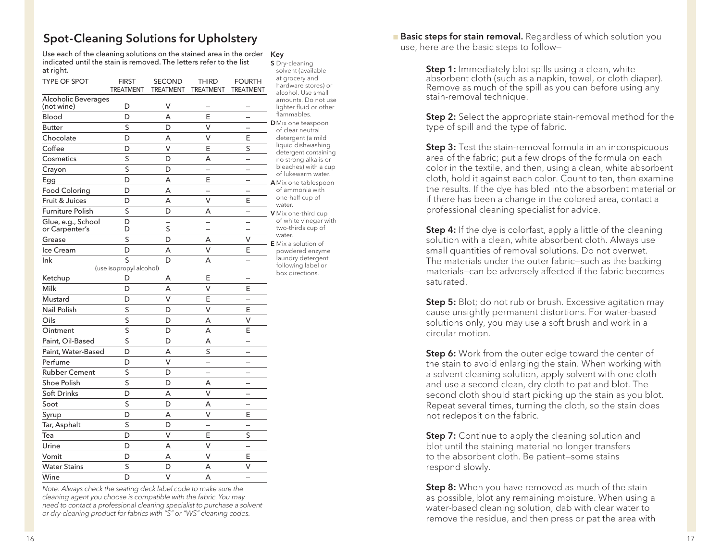#### Spot-Cleaning Solutions for Upholstery

Use each of the cleaning solutions on the stained area in the order Key indicated until the stain is removed. The letters refer to the list at right.

| TYPE OF SPOT                         | <b>FIRST</b><br><b>TREATMENT</b> | <b>SECOND</b><br><b>TREATMENT</b> | <b>THIRD</b><br><b>TREATMENT</b> | <b>FOURTH</b><br><b>TREATMENT</b> |  |
|--------------------------------------|----------------------------------|-----------------------------------|----------------------------------|-----------------------------------|--|
| Alcoholic Beverages<br>(not wine)    | D                                | ٧                                 |                                  |                                   |  |
| Blood                                | D                                | A                                 | E                                |                                   |  |
| <b>Butter</b>                        | S                                | D                                 | V                                |                                   |  |
| Chocolate                            | D                                | A                                 | V                                | E                                 |  |
| Coffee                               | D                                | v                                 | E                                | S                                 |  |
| Cosmetics                            | S                                | D                                 | A                                |                                   |  |
| Crayon                               | S                                | D                                 |                                  |                                   |  |
| Egg                                  | D                                | A                                 | E                                |                                   |  |
| <b>Food Coloring</b>                 | D                                | A                                 |                                  |                                   |  |
| Fruit & Juices                       | D                                | A                                 | V                                | E                                 |  |
| <b>Furniture Polish</b>              | S                                | D                                 | А                                |                                   |  |
| Glue, e.g., School<br>or Carpenter's | D<br>D                           | S                                 |                                  |                                   |  |
| Grease                               | S                                | D                                 | A                                | V                                 |  |
| Ice Cream                            | D                                | A                                 | V                                | E                                 |  |
| Ink                                  | S                                | D                                 | A                                |                                   |  |
| (use isopropyl alcohol)              |                                  |                                   |                                  |                                   |  |
| Ketchup                              | D                                | Α                                 | E                                | —                                 |  |
| Milk                                 | D                                | A                                 | V                                | E                                 |  |
| Mustard                              | D                                | v                                 | E                                |                                   |  |
| Nail Polish                          | S                                | D                                 | V                                | E                                 |  |
| Oils                                 | S                                | D                                 | A                                | V                                 |  |
| Ointment                             | S                                | D                                 | Α                                | E                                 |  |
| Paint, Oil-Based                     | S                                | D                                 | A                                |                                   |  |
| Paint, Water-Based                   | D                                | A                                 | S                                |                                   |  |
| Perfume                              | D                                | V                                 |                                  |                                   |  |
| <b>Rubber Cement</b>                 | S                                | D                                 |                                  |                                   |  |
| <b>Shoe Polish</b>                   | S                                | D                                 | А                                |                                   |  |
| <b>Soft Drinks</b>                   | D                                | A                                 | v                                |                                   |  |
| Soot                                 | S                                | D                                 | A                                |                                   |  |
| Syrup                                | D                                | A                                 | V                                | E                                 |  |
| Tar, Asphalt                         | S                                | D                                 |                                  |                                   |  |
| Tea                                  | D                                | V                                 | E                                | S                                 |  |
| Urine                                | D                                | A                                 | V                                |                                   |  |
| Vomit                                | D                                | A                                 | V                                | Ε                                 |  |
| <b>Water Stains</b>                  | S                                | D                                 | Α                                | V                                 |  |
| Wine                                 | D                                | $\vee$                            | A                                |                                   |  |

*Note: Always check the seating deck label code to make sure the cleaning agent you choose is compatible with the fabric. You may need to contact a professional cleaning specialist to purchase a solvent or dry-cleaning product for fabrics with "S" or "WS" cleaning codes.*

S Dry-cleaning solvent (available at grocery and hardware stores) or alcohol. Use small amounts. Do not use lighter fluid or other flammables. **D** Mix one teaspoon of clear neutral detergent (a mild liquid dishwashing detergent containing no strong alkalis or bleaches) with a cup of lukewarm water. A Mix one tablespoon of ammonia with one-half cup of water. V Mix one-third cup of white vinegar with two-thirds cup of water. E Mix a solution of powdered enzyme laundry detergent following label or box directions.

**Basic steps for stain removal.** Regardless of which solution you use, here are the basic steps to follow—

> **Step 1:** Immediately blot spills using a clean, white absorbent cloth (such as a napkin, towel, or cloth diaper). Remove as much of the spill as you can before using any stain-removal technique.

**Step 2:** Select the appropriate stain-removal method for the type of spill and the type of fabric.

**Step 3:** Test the stain-removal formula in an inconspicuous area of the fabric; put a few drops of the formula on each color in the textile, and then, using a clean, white absorbent cloth, hold it against each color. Count to ten, then examine the results. If the dye has bled into the absorbent material or if there has been a change in the colored area, contact a professional cleaning specialist for advice.

**Step 4:** If the dye is colorfast, apply a little of the cleaning solution with a clean, white absorbent cloth. Always use small quantities of removal solutions. Do not overwet. The materials under the outer fabric—such as the backing materials—can be adversely affected if the fabric becomes saturated.

**Step 5:** Blot; do not rub or brush. Excessive agitation may cause unsightly permanent distortions. For water-based solutions only, you may use a soft brush and work in a circular motion.

**Step 6:** Work from the outer edge toward the center of the stain to avoid enlarging the stain. When working with a solvent cleaning solution, apply solvent with one cloth and use a second clean, dry cloth to pat and blot. The second cloth should start picking up the stain as you blot. Repeat several times, turning the cloth, so the stain does not redeposit on the fabric.

**Step 7:** Continue to apply the cleaning solution and blot until the staining material no longer transfers to the absorbent cloth. Be patient—some stains respond slowly.

**Step 8:** When you have removed as much of the stain as possible, blot any remaining moisture. When using a water-based cleaning solution, dab with clear water to remove the residue, and then press or pat the area with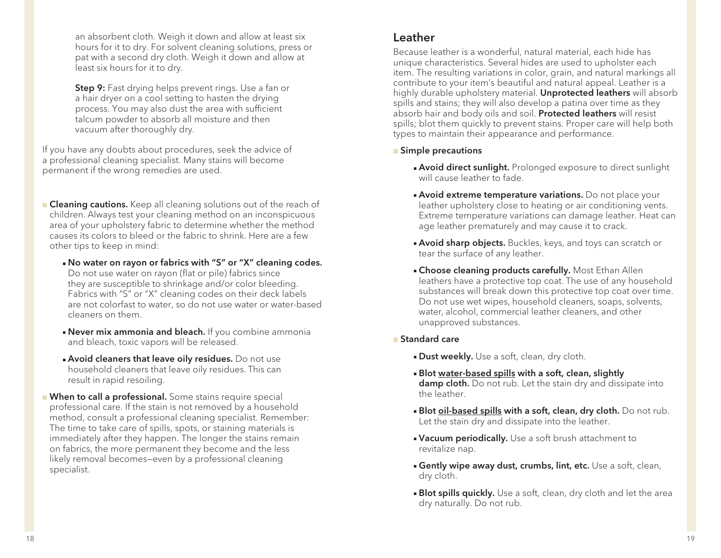an absorbent cloth. Weigh it down and allow at least six hours for it to dry. For solvent cleaning solutions, press or pat with a second dry cloth. Weigh it down and allow at least six hours for it to dry.

Step 9: Fast drying helps prevent rings. Use a fan or a hair dryer on a cool setting to hasten the drying process. You may also dust the area with sufficient talcum powder to absorb all moisture and then vacuum after thoroughly dry.

If you have any doubts about procedures, seek the advice of a professional cleaning specialist. Many stains will become permanent if the wrong remedies are used.

**Cleaning cautions.** Keep all cleaning solutions out of the reach of children. Always test your cleaning method on an inconspicuous area of your upholstery fabric to determine whether the method causes its colors to bleed or the fabric to shrink. Here are a few other tips to keep in mind:

- . No water on rayon or fabrics with "S" or "X" cleaning codes. Do not use water on rayon (flat or pile) fabrics since they are susceptible to shrinkage and/or color bleeding. Fabrics with "S" or "X" cleaning codes on their deck labels are not colorfast to water, so do not use water or water-based cleaners on them.
- **Never mix ammonia and bleach.** If you combine ammonia and bleach, toxic vapors will be released.
- **Avoid cleaners that leave oily residues.** Do not use household cleaners that leave oily residues. This can result in rapid resoiling.
- **Nhen to call a professional.** Some stains require special professional care. If the stain is not removed by a household method, consult a professional cleaning specialist. Remember: The time to take care of spills, spots, or staining materials is immediately after they happen. The longer the stains remain on fabrics, the more permanent they become and the less likely removal becomes—even by a professional cleaning specialist.

#### Leather

Because leather is a wonderful, natural material, each hide has unique characteristics. Several hides are used to upholster each item. The resulting variations in color, grain, and natural markings all contribute to your item's beautiful and natural appeal. Leather is a highly durable upholstery material. Unprotected leathers will absorb spills and stains; they will also develop a patina over time as they absorb hair and body oils and soil. Protected leathers will resist spills; blot them quickly to prevent stains. Proper care will help both types to maintain their appearance and performance.

#### **n** Simple precautions

- **Avoid direct sunlight.** Prolonged exposure to direct sunlight will cause leather to fade.
- **Avoid extreme temperature variations.** Do not place your leather upholstery close to heating or air conditioning vents. Extreme temperature variations can damage leather. Heat can age leather prematurely and may cause it to crack.
- **Avoid sharp objects.** Buckles, keys, and toys can scratch or tear the surface of any leather.
- **Example 2** Choose cleaning products carefully. Most Ethan Allen leathers have a protective top coat. The use of any household substances will break down this protective top coat over time. Do not use wet wipes, household cleaners, soaps, solvents, water, alcohol, commercial leather cleaners, and other unapproved substances.

#### <sup>n</sup> Standard care

- **Dust weekly.** Use a soft, clean, dry cloth.
- **Blot water-based spills with a soft, clean, slightly** damp cloth. Do not rub. Let the stain dry and dissipate into the leather.
- **Blot oil-based spills with a soft, clean, dry cloth.** Do not rub. Let the stain dry and dissipate into the leather.
- **vacuum periodically.** Use a soft brush attachment to revitalize nap.
- **Gently wipe away dust, crumbs, lint, etc.** Use a soft, clean, dry cloth.
- **Blot spills quickly.** Use a soft, clean, dry cloth and let the area dry naturally. Do not rub.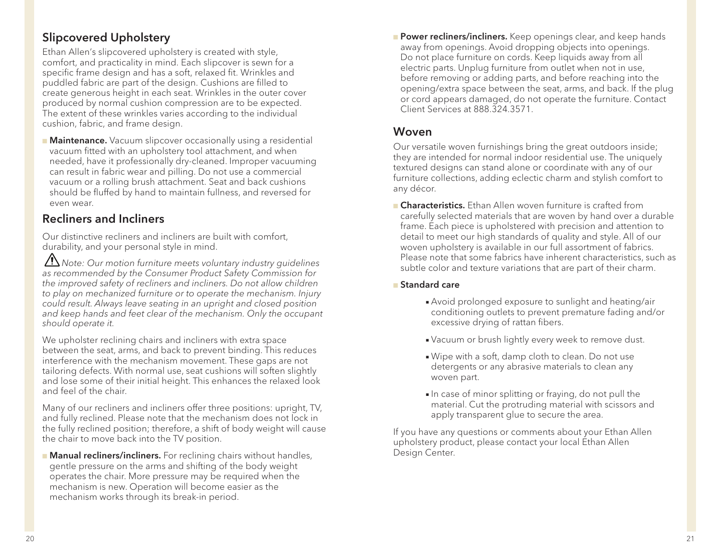#### Slipcovered Upholstery

Ethan Allen's slipcovered upholstery is created with style, comfort, and practicality in mind. Each slipcover is sewn for a specific frame design and has a soft, relaxed fit. Wrinkles and puddled fabric are part of the design. Cushions are filled to create generous height in each seat. Wrinkles in the outer cover produced by normal cushion compression are to be expected. The extent of these wrinkles varies according to the individual cushion, fabric, and frame design.

**Maintenance.** Vacuum slipcover occasionally using a residential vacuum fitted with an upholstery tool attachment, and when needed, have it professionally dry-cleaned. Improper vacuuming can result in fabric wear and pilling. Do not use a commercial vacuum or a rolling brush attachment. Seat and back cushions should be fluffed by hand to maintain fullness, and reversed for even wear.

### Recliners and Incliners

Our distinctive recliners and incliners are built with comfort, durability, and your personal style in mind.

 *Note: Our motion furniture meets voluntary industry guidelines as recommended by the Consumer Product Safety Commission for the improved safety of recliners and incliners. Do not allow children to play on mechanized furniture or to operate the mechanism. Injury could result. Always leave seating in an upright and closed position and keep hands and feet clear of the mechanism. Only the occupant should operate it.*

We upholster reclining chairs and incliners with extra space between the seat, arms, and back to prevent binding. This reduces interference with the mechanism movement. These gaps are not tailoring defects. With normal use, seat cushions will soften slightly and lose some of their initial height. This enhances the relaxed look and feel of the chair.

Many of our recliners and incliners offer three positions: upright, TV, and fully reclined. Please note that the mechanism does not lock in the fully reclined position; therefore, a shift of body weight will cause the chair to move back into the TV position.

**n Manual recliners/incliners.** For reclining chairs without handles, gentle pressure on the arms and shifting of the body weight operates the chair. More pressure may be required when the mechanism is new. Operation will become easier as the mechanism works through its break-in period.

**Power recliners/incliners.** Keep openings clear, and keep hands away from openings. Avoid dropping objects into openings. Do not place furniture on cords. Keep liquids away from all electric parts. Unplug furniture from outlet when not in use, before removing or adding parts, and before reaching into the opening/extra space between the seat, arms, and back. If the plug or cord appears damaged, do not operate the furniture. Contact Client Services at 888.324.3571.

#### Woven

Our versatile woven furnishings bring the great outdoors inside; they are intended for normal indoor residential use. The uniquely textured designs can stand alone or coordinate with any of our furniture collections, adding eclectic charm and stylish comfort to any décor.

**n Characteristics.** Ethan Allen woven furniture is crafted from carefully selected materials that are woven by hand over a durable frame. Each piece is upholstered with precision and attention to detail to meet our high standards of quality and style. All of our woven upholstery is available in our full assortment of fabrics. Please note that some fabrics have inherent characteristics, such as subtle color and texture variations that are part of their charm.

#### <sup>n</sup> Standard care

- <sup>n</sup> Avoid prolonged exposure to sunlight and heating/air conditioning outlets to prevent premature fading and/or excessive drying of rattan fibers.
- Vacuum or brush lightly every week to remove dust.
- . Wipe with a soft, damp cloth to clean. Do not use detergents or any abrasive materials to clean any woven part.
- In case of minor splitting or fraying, do not pull the material. Cut the protruding material with scissors and apply transparent glue to secure the area.

If you have any questions or comments about your Ethan Allen upholstery product, please contact your local Ethan Allen Design Center.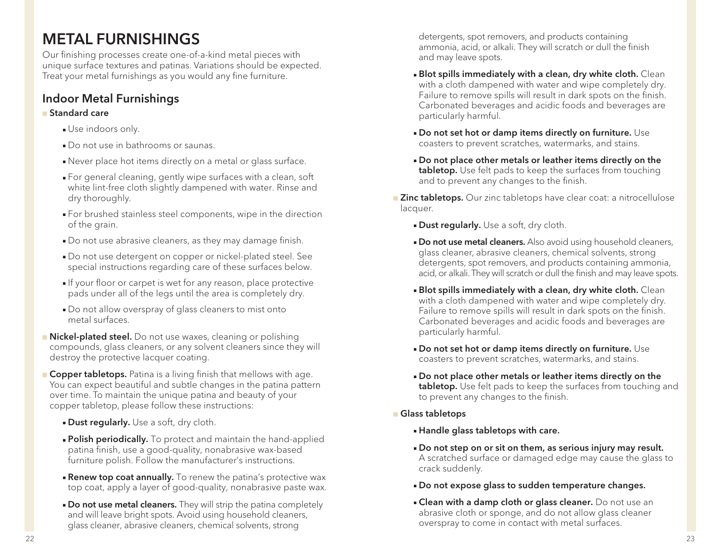# METAL FURNISHINGS

Our finishing processes create one-of-a-kind metal pieces with unique surface textures and patinas. Variations should be expected. Treat your metal furnishings as you would any fine furniture.

### Indoor Metal Furnishings

#### **n** Standard care

- **Journal** Use indoors only.
- Do not use in bathrooms or saunas.
- Never place hot items directly on a metal or glass surface.
- <sup>n</sup> For general cleaning, gently wipe surfaces with a clean, soft white lint-free cloth slightly dampened with water. Rinse and dry thoroughly.
- <sup>n</sup> For brushed stainless steel components, wipe in the direction of the grain.
- Do not use abrasive cleaners, as they may damage finish.
- Do not use detergent on copper or nickel-plated steel. See special instructions regarding care of these surfaces below.
- If your floor or carpet is wet for any reason, place protective pads under all of the legs until the area is completely dry.
- Do not allow overspray of glass cleaners to mist onto metal surfaces.
- **n Nickel-plated steel.** Do not use waxes, cleaning or polishing compounds, glass cleaners, or any solvent cleaners since they will destroy the protective lacquer coating.
- **Copper tabletops.** Patina is a living finish that mellows with age. You can expect beautiful and subtle changes in the patina pattern over time. To maintain the unique patina and beauty of your copper tabletop, please follow these instructions:
	- **Dust regularly.** Use a soft, dry cloth.
	- **Polish periodically.** To protect and maintain the hand-applied patina finish, use a good-quality, nonabrasive wax-based furniture polish. Follow the manufacturer's instructions.
	- **Renew top coat annually.** To renew the patina's protective wax top coat, apply a layer of good-quality, nonabrasive paste wax.
	- **Do not use metal cleaners.** They will strip the patina completely and will leave bright spots. Avoid using household cleaners, glass cleaner, abrasive cleaners, chemical solvents, strong

detergents, spot removers, and products containing ammonia, acid, or alkali. They will scratch or dull the finish and may leave spots.

- **Blot spills immediately with a clean, dry white cloth.** Clean with a cloth dampened with water and wipe completely dry. Failure to remove spills will result in dark spots on the finish. Carbonated beverages and acidic foods and beverages are particularly harmful.
- $\blacksquare$  Do not set hot or damp items directly on furniture. Use coasters to prevent scratches, watermarks, and stains.
- <sup>n</sup> Do not place other metals or leather items directly on the tabletop. Use felt pads to keep the surfaces from touching and to prevent any changes to the finish.
- **Example 2** Inc tabletops. Our zinc tabletops have clear coat: a nitrocellulose lacquer.
	- **Dust regularly.** Use a soft, dry cloth.
	- **Do not use metal cleaners.** Also avoid using household cleaners, glass cleaner, abrasive cleaners, chemical solvents, strong detergents, spot removers, and products containing ammonia, acid, or alkali. They will scratch or dull the finish and may leave spots.
	- **Blot spills immediately with a clean, dry white cloth.** Clean with a cloth dampened with water and wipe completely dry. Failure to remove spills will result in dark spots on the finish. Carbonated beverages and acidic foods and beverages are particularly harmful.
	- . Do not set hot or damp items directly on furniture. Use coasters to prevent scratches, watermarks, and stains.
	- . Do not place other metals or leather items directly on the tabletop. Use felt pads to keep the surfaces from touching and to prevent any changes to the finish.
- **n** Glass tabletops
	- <sup>n</sup> Handle glass tabletops with care.
	- . Do not step on or sit on them, as serious injury may result. A scratched surface or damaged edge may cause the glass to crack suddenly.
	- . Do not expose glass to sudden temperature changes.
	- **Example Clean with a damp cloth or glass cleaner.** Do not use an abrasive cloth or sponge, and do not allow glass cleaner overspray to come in contact with metal surfaces.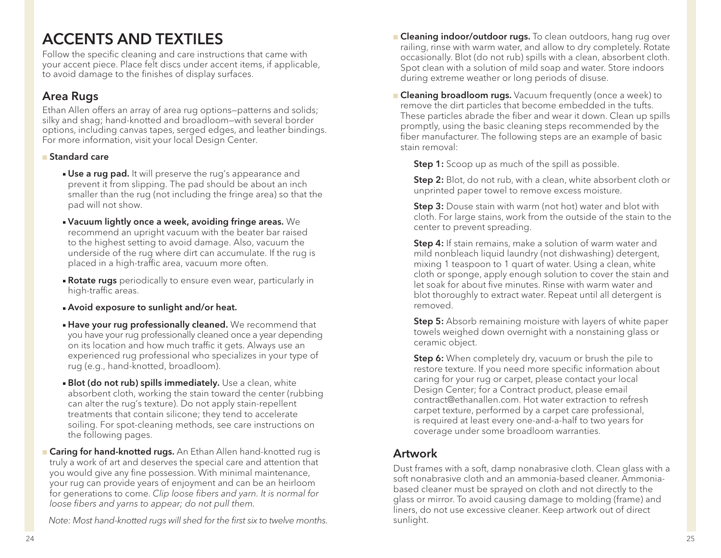# ACCENTS AND TEXTILES

Follow the specific cleaning and care instructions that came with your accent piece. Place felt discs under accent items, if applicable, to avoid damage to the finishes of display surfaces.

#### Area Rugs

Ethan Allen offers an array of area rug options—patterns and solids; silky and shag; hand-knotted and broadloom—with several border options, including canvas tapes, serged edges, and leather bindings. For more information, visit your local Design Center.

#### <sup>n</sup> Standard care

- **Use a rug pad.** It will preserve the rug's appearance and prevent it from slipping. The pad should be about an inch smaller than the rug (not including the fringe area) so that the pad will not show.
- $\blacksquare$  Vacuum lightly once a week, avoiding fringe areas. We recommend an upright vacuum with the beater bar raised to the highest setting to avoid damage. Also, vacuum the underside of the rug where dirt can accumulate. If the rug is placed in a high-traffic area, vacuum more often.
- **Rotate rugs** periodically to ensure even wear, particularly in high-traffic areas.
- **Avoid exposure to sunlight and/or heat.**
- **Have your rug professionally cleaned.** We recommend that you have your rug professionally cleaned once a year depending on its location and how much traffic it gets. Always use an experienced rug professional who specializes in your type of rug (e.g., hand-knotted, broadloom).
- **Blot (do not rub) spills immediately.** Use a clean, white absorbent cloth, working the stain toward the center (rubbing can alter the rug's texture). Do not apply stain-repellent treatments that contain silicone; they tend to accelerate soiling. For spot-cleaning methods, see care instructions on the following pages.
- **n Caring for hand-knotted rugs.** An Ethan Allen hand-knotted rug is truly a work of art and deserves the special care and attention that you would give any fine possession. With minimal maintenance, your rug can provide years of enjoyment and can be an heirloom for generations to come. *Clip loose fibers and yarn. It is normal for loose fibers and yarns to appear; do not pull them.*

*Note: Most hand-knotted rugs will shed for the first six to twelve months.* 

- **n Cleaning indoor/outdoor rugs.** To clean outdoors, hang rug over railing, rinse with warm water, and allow to dry completely. Rotate occasionally. Blot (do not rub) spills with a clean, absorbent cloth. Spot clean with a solution of mild soap and water. Store indoors during extreme weather or long periods of disuse.
- **n Cleaning broadloom rugs.** Vacuum frequently (once a week) to remove the dirt particles that become embedded in the tufts. These particles abrade the fiber and wear it down. Clean up spills promptly, using the basic cleaning steps recommended by the fiber manufacturer. The following steps are an example of basic stain removal:

**Step 1:** Scoop up as much of the spill as possible.

**Step 2:** Blot, do not rub, with a clean, white absorbent cloth or unprinted paper towel to remove excess moisture.

**Step 3:** Douse stain with warm (not hot) water and blot with cloth. For large stains, work from the outside of the stain to the center to prevent spreading.

Step 4: If stain remains, make a solution of warm water and mild nonbleach liquid laundry (not dishwashing) detergent, mixing 1 teaspoon to 1 quart of water. Using a clean, white cloth or sponge, apply enough solution to cover the stain and let soak for about five minutes. Rinse with warm water and blot thoroughly to extract water. Repeat until all detergent is removed.

**Step 5:** Absorb remaining moisture with layers of white paper towels weighed down overnight with a nonstaining glass or ceramic object.

**Step 6:** When completely dry, vacuum or brush the pile to restore texture. If you need more specific information about caring for your rug or carpet, please contact your local Design Center; for a Contract product, please email contract@ethanallen.com. Hot water extraction to refresh carpet texture, performed by a carpet care professional, is required at least every one-and-a-half to two years for coverage under some broadloom warranties.

### Artwork

Dust frames with a soft, damp nonabrasive cloth. Clean glass with a soft nonabrasive cloth and an ammonia-based cleaner. Ammoniabased cleaner must be sprayed on cloth and not directly to the glass or mirror. To avoid causing damage to molding (frame) and liners, do not use excessive cleaner. Keep artwork out of direct sunlight.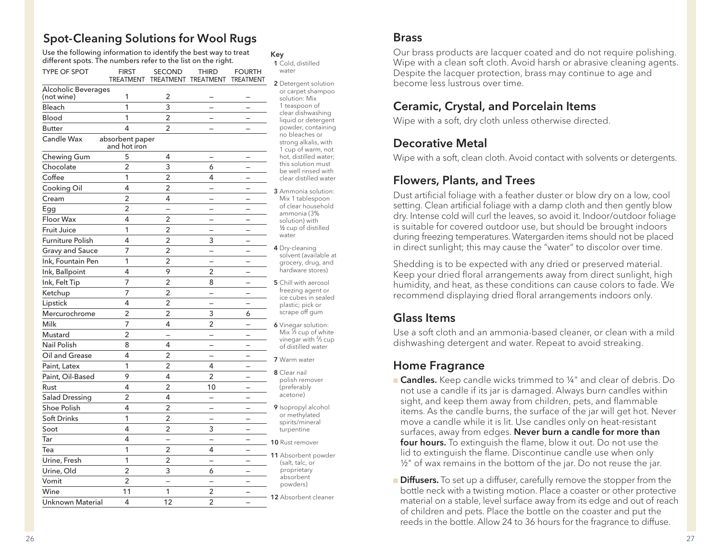#### Spot-Cleaning Solutions for Wool Rugs

Use the following information to identify the best way to treat different spots. The numbers refer to the list on the right. TYPE OF SPOT FIRST SECOND THIRD FOURTH TREATMENT TREATMENT TREATMENT TREATMENT Alcoholic Beverages  $($ not wine $)$   $\begin{array}{ccc} 1 & 2 & - & - \end{array}$ Bleach 1 3 — — Blood 1 2 — — Butter 4 2 — — Candle Wax absorbent paper and hot iron Chewing Gum 5 4 – – Chocolate 2 3 6 — Coffee 1 2 4 —  $\text{Cookina Oil} \qquad \qquad 4 \qquad \qquad 2 \qquad \qquad - \qquad \qquad -$ Cream 2 4 — — — Egg 2 — — —  $Floor$  Wax  $4$   $2$   $-$ Fruit Juice 1 2 — — Furniture Polish  $4$  2 3  $-$ Gravy and Sauce  $7$  2  $Ink.$  Fountain Pen  $1$  2  $-$ Ink, Ballpoint 4 9 2 – Ink, Felt Tip 7 2 8 — Ketchup  $7$  2  $-$ Lipstick  $4$   $2$   $-$ Mercurochrome 2 2 3 6 Milk 7 4 2 — Mustard 2 – – – – Nail Polish 8 4 — — — Oil and Grease  $4$   $2$   $-$ Paint, Latex 1 2 4 — Paint, Oil-Based 9 4 2 – Rust 4 2 10 — Salad Dressing 2 4 - - -Shoe Polish  $4$   $2$   $-$ Soft Drinks  $1 \t 2 \t -$ Soot 4 2 3 — Tar  $4$   $-$ Tea 1 2 4 — Urine, Fresh 1 2 — — — Urine, Old 2 3 6 – Vomit 2 — — — Wine 11 1 2 — Unknown Material 4 12 2 -Key

 1 Cold, distilled water 2 Detergent solution or carpet shampoo solution: Mix 1 teaspoon of clear dishwashing liquid or detergent powder, containing no bleaches or strong alkalis, with 1 cup of warm, not hot, distilled water; this solution must be well rinsed with clear distilled water 3 Ammonia solution: Mix 1 tablespoon

- of clear household ammonia (3% solution) with ½ cup of distilled water
- 4 Dry-cleaning solvent (available at grocery, drug, and hardware stores)
- 5 Chill with aerosol freezing agent or ice cubes in sealed plastic; pick or scrape off gum

 6 Vinegar solution: Mix  $\%$  cup of white vinegar with  $\frac{2}{3}$  cup of distilled water

7 Warm water

- 8 Clear nail polish remover (preferably acetone)
- 9 Isopropyl alcohol or methylated spirits/mineral turpentine

#### 10 Rust remover

11 Absorbent powder (salt, talc, or proprietary absorbent powders)

#### 12 Absorbent cleaner

#### Brass

Our brass products are lacquer coated and do not require polishing. Wipe with a clean soft cloth. Avoid harsh or abrasive cleaning agents. Despite the lacquer protection, brass may continue to age and become less lustrous over time.

#### Ceramic, Crystal, and Porcelain Items

Wipe with a soft, dry cloth unless otherwise directed.

#### Decorative Metal

Wipe with a soft, clean cloth. Avoid contact with solvents or detergents.

#### Flowers, Plants, and Trees

Dust artificial foliage with a feather duster or blow dry on a low, cool setting. Clean artificial foliage with a damp cloth and then gently blow dry. Intense cold will curl the leaves, so avoid it. Indoor/outdoor foliage is suitable for covered outdoor use, but should be brought indoors during freezing temperatures. Watergarden items should not be placed in direct sunlight; this may cause the "water" to discolor over time.

Shedding is to be expected with any dried or preserved material. Keep your dried floral arrangements away from direct sunlight, high humidity, and heat, as these conditions can cause colors to fade. We recommend displaying dried floral arrangements indoors only.

#### Glass Items

Use a soft cloth and an ammonia-based cleaner, or clean with a mild dishwashing detergent and water. Repeat to avoid streaking.

#### Home Fragrance

- **Candles.** Keep candle wicks trimmed to ¼" and clear of debris. Do not use a candle if its jar is damaged. Always burn candles within sight, and keep them away from children, pets, and flammable items. As the candle burns, the surface of the jar will get hot. Never move a candle while it is lit. Use candles only on heat-resistant surfaces, away from edges. Never burn a candle for more than four hours. To extinguish the flame, blow it out. Do not use the lid to extinguish the flame. Discontinue candle use when only ½" of wax remains in the bottom of the jar. Do not reuse the jar.
- **Diffusers.** To set up a diffuser, carefully remove the stopper from the bottle neck with a twisting motion. Place a coaster or other protective material on a stable, level surface away from its edge and out of reach of children and pets. Place the bottle on the coaster and put the reeds in the bottle. Allow 24 to 36 hours for the fragrance to diffuse.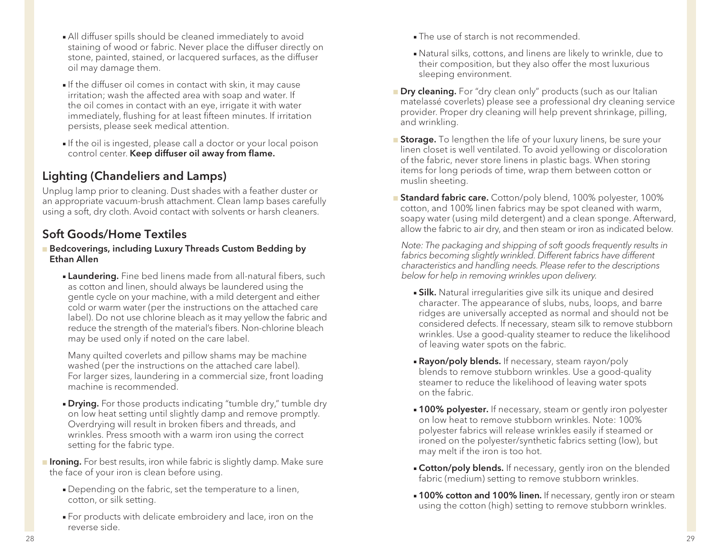- All diffuser spills should be cleaned immediately to avoid staining of wood or fabric. Never place the diffuser directly on stone, painted, stained, or lacquered surfaces, as the diffuser oil may damage them.
- If the diffuser oil comes in contact with skin, it may cause irritation; wash the affected area with soap and water. If the oil comes in contact with an eye, irrigate it with water immediately, flushing for at least fifteen minutes. If irritation persists, please seek medical attention.
- If the oil is ingested, please call a doctor or your local poison control center. Keep diffuser oil away from flame.

### Lighting (Chandeliers and Lamps)

Unplug lamp prior to cleaning. Dust shades with a feather duster or an appropriate vacuum-brush attachment. Clean lamp bases carefully using a soft, dry cloth. Avoid contact with solvents or harsh cleaners.

#### Soft Goods/Home Textiles

- **Bedcoverings, including Luxury Threads Custom Bedding by** Ethan Allen
	- **Laundering.** Fine bed linens made from all-natural fibers, such as cotton and linen, should always be laundered using the gentle cycle on your machine, with a mild detergent and either cold or warm water (per the instructions on the attached care label). Do not use chlorine bleach as it may yellow the fabric and reduce the strength of the material's fibers. Non-chlorine bleach may be used only if noted on the care label.

Many quilted coverlets and pillow shams may be machine washed (per the instructions on the attached care label). For larger sizes, laundering in a commercial size, front loading machine is recommended.

**Drying.** For those products indicating "tumble dry," tumble dry on low heat setting until slightly damp and remove promptly. Overdrying will result in broken fibers and threads, and wrinkles. Press smooth with a warm iron using the correct setting for the fabric type.

**n Ironing.** For best results, iron while fabric is slightly damp. Make sure the face of your iron is clean before using.

- Depending on the fabric, set the temperature to a linen, cotton, or silk setting.
- <sup>n</sup> For products with delicate embroidery and lace, iron on the reverse side.
- The use of starch is not recommended.
- <sup>n</sup> Natural silks, cottons, and linens are likely to wrinkle, due to their composition, but they also offer the most luxurious sleeping environment.
- **Dry cleaning.** For "dry clean only" products (such as our Italian matelassé coverlets) please see a professional dry cleaning service provider. Proper dry cleaning will help prevent shrinkage, pilling, and wrinkling.
- **Storage.** To lengthen the life of your luxury linens, be sure your linen closet is well ventilated. To avoid yellowing or discoloration of the fabric, never store linens in plastic bags. When storing items for long periods of time, wrap them between cotton or muslin sheeting.
- **Standard fabric care.** Cotton/poly blend, 100% polyester, 100% cotton, and 100% linen fabrics may be spot cleaned with warm, soapy water (using mild detergent) and a clean sponge. Afterward, allow the fabric to air dry, and then steam or iron as indicated below.

 *Note: The packaging and shipping of soft goods frequently results in*  fabrics becoming slightly wrinkled. Different fabrics have different *characteristics and handling needs. Please refer to the descriptions below for help in removing wrinkles upon delivery.*

- **silk.** Natural irregularities give silk its unique and desired character. The appearance of slubs, nubs, loops, and barre ridges are universally accepted as normal and should not be considered defects. If necessary, steam silk to remove stubborn wrinkles. Use a good-quality steamer to reduce the likelihood of leaving water spots on the fabric.
- **Rayon/poly blends.** If necessary, steam rayon/poly blends to remove stubborn wrinkles. Use a good-quality steamer to reduce the likelihood of leaving water spots on the fabric.
- **100% polyester.** If necessary, steam or gently iron polyester on low heat to remove stubborn wrinkles. Note: 100% polyester fabrics will release wrinkles easily if steamed or ironed on the polyester/synthetic fabrics setting (low), but may melt if the iron is too hot.
- **Cotton/poly blends.** If necessary, gently iron on the blended fabric (medium) setting to remove stubborn wrinkles.
- **100% cotton and 100% linen.** If necessary, gently iron or steam using the cotton (high) setting to remove stubborn wrinkles.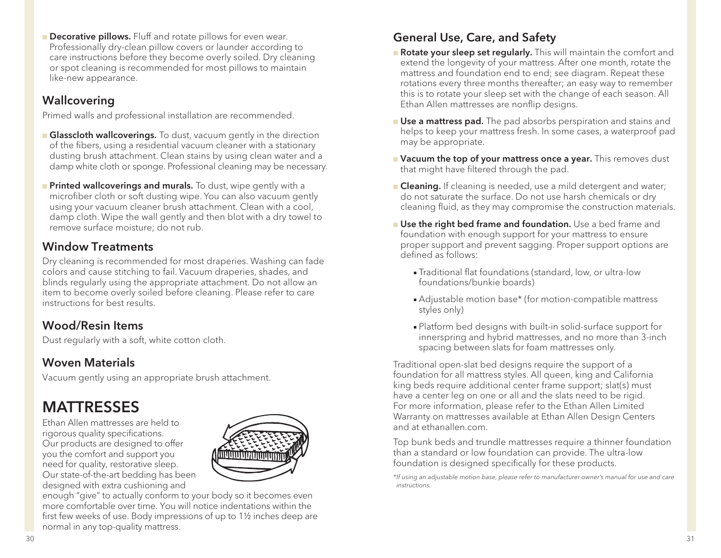**n Decorative pillows.** Fluff and rotate pillows for even wear. Professionally dry-clean pillow covers or launder according to care instructions before they become overly soiled. Dry cleaning or spot cleaning is recommended for most pillows to maintain like-new appearance.

### Wallcovering

Primed walls and professional installation are recommended.

- **Glasscloth wallcoverings.** To dust, vacuum gently in the direction of the fibers, using a residential vacuum cleaner with a stationary dusting brush attachment. Clean stains by using clean water and a damp white cloth or sponge. Professional cleaning may be necessary.
- **Printed wallcoverings and murals.** To dust, wipe gently with a microfiber cloth or soft dusting wipe. You can also vacuum gently using your vacuum cleaner brush attachment. Clean with a cool, damp cloth. Wipe the wall gently and then blot with a dry towel to remove surface moisture; do not rub.

### Window Treatments

Dry cleaning is recommended for most draperies. Washing can fade colors and cause stitching to fail. Vacuum draperies, shades, and blinds regularly using the appropriate attachment. Do not allow an item to become overly soiled before cleaning. Please refer to care instructions for best results.

### Wood/Resin Items

Dust regularly with a soft, white cotton cloth.

### Woven Materials

Vacuum gently using an appropriate brush attachment.

# **MATTRESSES**

Ethan Allen mattresses are held to rigorous quality specifications. Our products are designed to offer you the comfort and support you need for quality, restorative sleep. Our state-of-the-art bedding has been designed with extra cushioning and



enough "give" to actually conform to your body so it becomes even more comfortable over time. You will notice indentations within the first few weeks of use. Body impressions of up to 1½ inches deep are normal in any top-quality mattress.

### General Use, Care, and Safety

- **Rotate your sleep set regularly.** This will maintain the comfort and extend the longevity of your mattress. After one month, rotate the mattress and foundation end to end; see diagram. Repeat these rotations every three months thereafter; an easy way to remember this is to rotate your sleep set with the change of each season. All Ethan Allen mattresses are nonflip designs.
- **Use a mattress pad.** The pad absorbs perspiration and stains and helps to keep your mattress fresh. In some cases, a waterproof pad may be appropriate.
- **Nacuum the top of your mattress once a year.** This removes dust that might have filtered through the pad.
- **Cleaning.** If cleaning is needed, use a mild detergent and water; do not saturate the surface. Do not use harsh chemicals or dry cleaning fluid, as they may compromise the construction materials.
- **n** Use the right bed frame and foundation. Use a bed frame and foundation with enough support for your mattress to ensure proper support and prevent sagging. Proper support options are defined as follows:
	- **Fraditional flat foundations (standard, low, or ultra-low** foundations/bunkie boards)
	- Adjustable motion base\* (for motion-compatible mattress styles only)
	- <sup>n</sup> Platform bed designs with built-in solid-surface support for innerspring and hybrid mattresses, and no more than 3-inch spacing between slats for foam mattresses only.

Traditional open-slat bed designs require the support of a foundation for all mattress styles. All queen, king and California king beds require additional center frame support; slat(s) must have a center leg on one or all and the slats need to be rigid. For more information, please refer to the Ethan Allen Limited Warranty on mattresses available at Ethan Allen Design Centers and at ethanallen.com.

Top bunk beds and trundle mattresses require a thinner foundation than a standard or low foundation can provide. The ultra-low foundation is designed specifically for these products.

*\*If using an adjustable motion base, please refer to manufacturer owner's manual for use and care instructions.*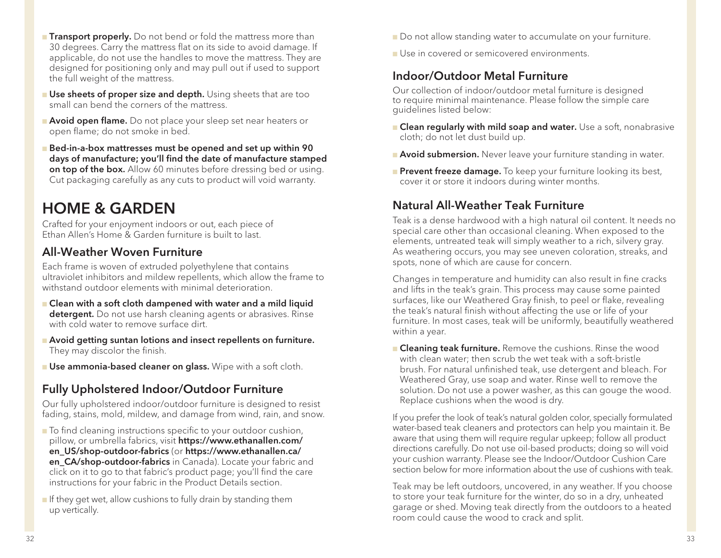- **Transport properly.** Do not bend or fold the mattress more than 30 degrees. Carry the mattress flat on its side to avoid damage. If applicable, do not use the handles to move the mattress. They are designed for positioning only and may pull out if used to support the full weight of the mattress.
- **n Use sheets of proper size and depth.** Using sheets that are too small can bend the corners of the mattress.
- **Avoid open flame.** Do not place your sleep set near heaters or open flame; do not smoke in bed.
- <sup>n</sup> Bed-in-a-box mattresses must be opened and set up within 90 days of manufacture; you'll find the date of manufacture stamped on top of the box. Allow 60 minutes before dressing bed or using. Cut packaging carefully as any cuts to product will void warranty.

# HOME & GARDEN

Crafted for your enjoyment indoors or out, each piece of Ethan Allen's Home & Garden furniture is built to last.

#### All-Weather Woven Furniture

Each frame is woven of extruded polyethylene that contains ultraviolet inhibitors and mildew repellents, which allow the frame to withstand outdoor elements with minimal deterioration.

- **n** Clean with a soft cloth dampened with water and a mild liquid detergent. Do not use harsh cleaning agents or abrasives. Rinse with cold water to remove surface dirt.
- **n** Avoid getting suntan lotions and insect repellents on furniture. They may discolor the finish.
- **u** Use ammonia-based cleaner on glass. Wipe with a soft cloth.

#### Fully Upholstered Indoor/Outdoor Furniture

Our fully upholstered indoor/outdoor furniture is designed to resist fading, stains, mold, mildew, and damage from wind, rain, and snow.

- $\blacksquare$  To find cleaning instructions specific to your outdoor cushion, pillow, or umbrella fabrics, visit https://www.ethanallen.com/ en US/shop-outdoor-fabrics (or https://www.ethanallen.ca/ en CA/shop-outdoor-fabrics in Canada). Locate your fabric and click on it to go to that fabric's product page; you'll find the care instructions for your fabric in the Product Details section.
- $\blacksquare$  If they get wet, allow cushions to fully drain by standing them up vertically.
- Do not allow standing water to accumulate on your furniture.
- <sup>n</sup> Use in covered or semicovered environments.

#### Indoor/Outdoor Metal Furniture

Our collection of indoor/outdoor metal furniture is designed to require minimal maintenance. Please follow the simple care guidelines listed below:

- **n Clean regularly with mild soap and water.** Use a soft, nonabrasive cloth; do not let dust build up.
- **Avoid submersion.** Never leave your furniture standing in water.
- **Prevent freeze damage.** To keep your furniture looking its best, cover it or store it indoors during winter months.

#### Natural All-Weather Teak Furniture

Teak is a dense hardwood with a high natural oil content. It needs no special care other than occasional cleaning. When exposed to the elements, untreated teak will simply weather to a rich, silvery gray. As weathering occurs, you may see uneven coloration, streaks, and spots, none of which are cause for concern.

Changes in temperature and humidity can also result in fine cracks and lifts in the teak's grain. This process may cause some painted surfaces, like our Weathered Gray finish, to peel or flake, revealing the teak's natural finish without affecting the use or life of your furniture. In most cases, teak will be uniformly, beautifully weathered within a year.

**n Cleaning teak furniture.** Remove the cushions. Rinse the wood with clean water; then scrub the wet teak with a soft-bristle brush. For natural unfinished teak, use detergent and bleach. For Weathered Gray, use soap and water. Rinse well to remove the solution. Do not use a power washer, as this can gouge the wood. Replace cushions when the wood is dry.

If you prefer the look of teak's natural golden color, specially formulated water-based teak cleaners and protectors can help you maintain it. Be aware that using them will require regular upkeep; follow all product directions carefully. Do not use oil-based products; doing so will void your cushion warranty. Please see the Indoor/Outdoor Cushion Care section below for more information about the use of cushions with teak.

Teak may be left outdoors, uncovered, in any weather. If you choose to store your teak furniture for the winter, do so in a dry, unheated garage or shed. Moving teak directly from the outdoors to a heated room could cause the wood to crack and split.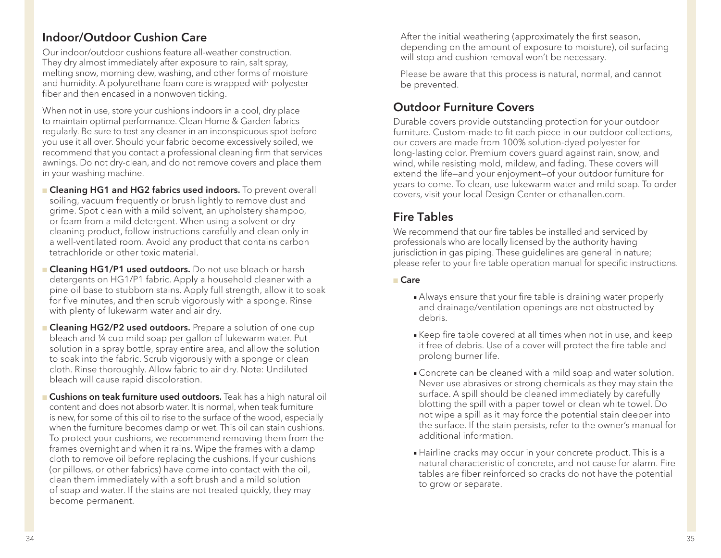#### Indoor/Outdoor Cushion Care

Our indoor/outdoor cushions feature all-weather construction. They dry almost immediately after exposure to rain, salt spray, melting snow, morning dew, washing, and other forms of moisture and humidity. A polyurethane foam core is wrapped with polyester fiber and then encased in a nonwoven ticking.

When not in use, store your cushions indoors in a cool, dry place to maintain optimal performance. Clean Home & Garden fabrics regularly. Be sure to test any cleaner in an inconspicuous spot before you use it all over. Should your fabric become excessively soiled, we recommend that you contact a professional cleaning firm that services awnings. Do not dry-clean, and do not remove covers and place them in your washing machine.

- **n Cleaning HG1 and HG2 fabrics used indoors.** To prevent overall soiling, vacuum frequently or brush lightly to remove dust and grime. Spot clean with a mild solvent, an upholstery shampoo, or foam from a mild detergent. When using a solvent or dry cleaning product, follow instructions carefully and clean only in a well-ventilated room. Avoid any product that contains carbon tetrachloride or other toxic material.
- **Cleaning HG1/P1 used outdoors.** Do not use bleach or harsh detergents on HG1/P1 fabric. Apply a household cleaner with a pine oil base to stubborn stains. Apply full strength, allow it to soak for five minutes, and then scrub vigorously with a sponge. Rinse with plenty of lukewarm water and air dry.
- **Cleaning HG2/P2 used outdoors.** Prepare a solution of one cup bleach and ¼ cup mild soap per gallon of lukewarm water. Put solution in a spray bottle, spray entire area, and allow the solution to soak into the fabric. Scrub vigorously with a sponge or clean cloth. Rinse thoroughly. Allow fabric to air dry. Note: Undiluted bleach will cause rapid discoloration.
- **n Cushions on teak furniture used outdoors.** Teak has a high natural oil content and does not absorb water. It is normal, when teak furniture is new, for some of this oil to rise to the surface of the wood, especially when the furniture becomes damp or wet. This oil can stain cushions. To protect your cushions, we recommend removing them from the frames overnight and when it rains. Wipe the frames with a damp cloth to remove oil before replacing the cushions. If your cushions (or pillows, or other fabrics) have come into contact with the oil, clean them immediately with a soft brush and a mild solution of soap and water. If the stains are not treated quickly, they may become permanent.

After the initial weathering (approximately the first season, depending on the amount of exposure to moisture), oil surfacing will stop and cushion removal won't be necessary.

Please be aware that this process is natural, normal, and cannot be prevented.

#### Outdoor Furniture Covers

Durable covers provide outstanding protection for your outdoor furniture. Custom-made to fit each piece in our outdoor collections, our covers are made from 100% solution-dyed polyester for long-lasting color. Premium covers guard against rain, snow, and wind, while resisting mold, mildew, and fading. These covers will extend the life—and your enjoyment—of your outdoor furniture for years to come. To clean, use lukewarm water and mild soap. To order covers, visit your local Design Center or ethanallen.com.

#### Fire Tables

We recommend that our fire tables be installed and serviced by professionals who are locally licensed by the authority having jurisdiction in gas piping. These guidelines are general in nature; please refer to your fire table operation manual for specific instructions.

#### <sup>n</sup> Care

- Always ensure that your fire table is draining water properly and drainage/ventilation openings are not obstructed by debris.
- **Keep fire table covered at all times when not in use, and keep** it free of debris. Use of a cover will protect the fire table and prolong burner life.
- **Concrete can be cleaned with a mild soap and water solution.** Never use abrasives or strong chemicals as they may stain the surface. A spill should be cleaned immediately by carefully blotting the spill with a paper towel or clean white towel. Do not wipe a spill as it may force the potential stain deeper into the surface. If the stain persists, refer to the owner's manual for additional information.
- Hairline cracks may occur in your concrete product. This is a natural characteristic of concrete, and not cause for alarm. Fire tables are fiber reinforced so cracks do not have the potential to grow or separate.